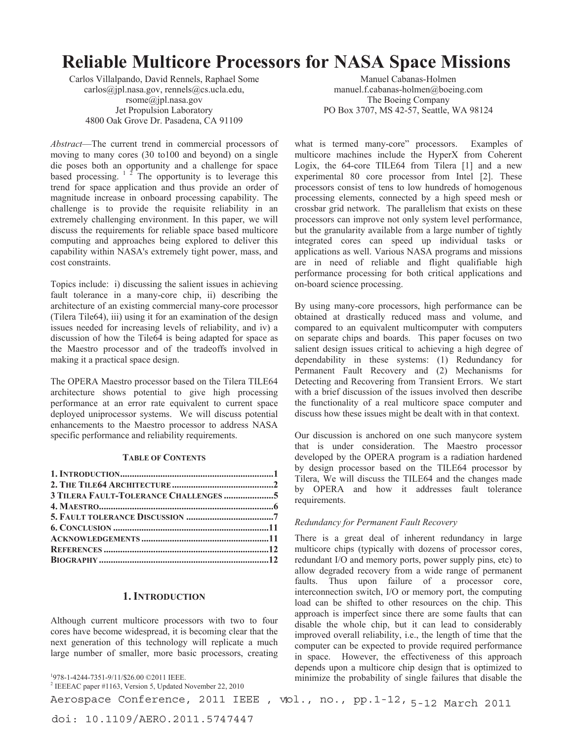# **Reliable Multicore Processors for NASA Space Missions**

Carlos Villalpando, David Rennels, Raphael Some carlos@jpl.nasa.gov, rennels@cs.ucla.edu, rsome@jpl.nasa.gov Jet Propulsion Laboratory 4800 Oak Grove Dr. Pasadena, CA 91109

*Abstract*—The current trend in commercial processors of moving to many cores (30 to100 and beyond) on a single die poses both an opportunity and a challenge for space based processing.  $1^2$  The opportunity is to leverage this trend for space application and thus provide an order of magnitude increase in onboard processing capability. The challenge is to provide the requisite reliability in an extremely challenging environment. In this paper, we will discuss the requirements for reliable space based multicore computing and approaches being explored to deliver this capability within NASA's extremely tight power, mass, and cost constraints.

Topics include: i) discussing the salient issues in achieving fault tolerance in a many-core chip, ii) describing the architecture of an existing commercial many-core processor (Tilera Tile64), iii) using it for an examination of the design issues needed for increasing levels of reliability, and iv) a discussion of how the Tile64 is being adapted for space as the Maestro processor and of the tradeoffs involved in making it a practical space design.

The OPERA Maestro processor based on the Tilera TILE64 architecture shows potential to give high processing performance at an error rate equivalent to current space deployed uniprocessor systems. We will discuss potential enhancements to the Maestro processor to address NASA specific performance and reliability requirements.

#### **TABLE OF CONTENTS**

| 3 TILERA FAULT-TOLERANCE CHALLENGES 5 |
|---------------------------------------|
|                                       |
|                                       |
|                                       |
|                                       |
|                                       |
|                                       |
|                                       |

## **1. INTRODUCTION**

Although current multicore processors with two to four cores have become widespread, it is becoming clear that the next generation of this technology will replicate a much large number of smaller, more basic processors, creating

1 978-1-4244-7351-9/11/\$26.00 ©2011 IEEE. <sup>2</sup> IEEEAC paper #1163, Version 5, Updated November 22, 2010

Manuel Cabanas-Holmen manuel.f.cabanas-holmen@boeing.com The Boeing Company PO Box 3707, MS 42-57, Seattle, WA 98124

what is termed many-core" processors. Examples of multicore machines include the HyperX from Coherent Logix, the 64-core TILE64 from Tilera [1] and a new experimental 80 core processor from Intel [2]. These processors consist of tens to low hundreds of homogenous processing elements, connected by a high speed mesh or crossbar grid network. The parallelism that exists on these processors can improve not only system level performance, but the granularity available from a large number of tightly integrated cores can speed up individual tasks or applications as well. Various NASA programs and missions are in need of reliable and flight qualifiable high performance processing for both critical applications and on-board science processing.

By using many-core processors, high performance can be obtained at drastically reduced mass and volume, and compared to an equivalent multicomputer with computers on separate chips and boards. This paper focuses on two salient design issues critical to achieving a high degree of dependability in these systems: (1) Redundancy for Permanent Fault Recovery and (2) Mechanisms for Detecting and Recovering from Transient Errors. We start with a brief discussion of the issues involved then describe the functionality of a real multicore space computer and discuss how these issues might be dealt with in that context.

Our discussion is anchored on one such manycore system that is under consideration. The Maestro processor developed by the OPERA program is a radiation hardened by design processor based on the TILE64 processor by Tilera, We will discuss the TILE64 and the changes made by OPERA and how it addresses fault tolerance requirements.

#### *Redundancy for Permanent Fault Recovery*

There is a great deal of inherent redundancy in large multicore chips (typically with dozens of processor cores, redundant I/O and memory ports, power supply pins, etc) to allow degraded recovery from a wide range of permanent faults. Thus upon failure of a processor core, interconnection switch, I/O or memory port, the computing load can be shifted to other resources on the chip. This approach is imperfect since there are some faults that can disable the whole chip, but it can lead to considerably improved overall reliability, i.e., the length of time that the computer can be expected to provide required performance in space. However, the effectiveness of this approach depends upon a multicore chip design that is optimized to minimize the probability of single failures that disable the

Aerospace Conference, 2011 IEEE , vol., no., pp.1-12, <sub>5-12</sub> March 2011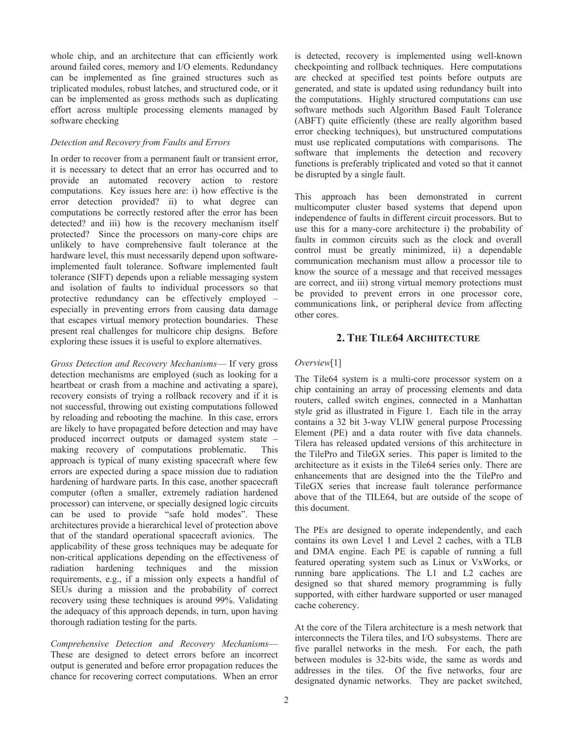whole chip, and an architecture that can efficiently work around failed cores, memory and I/O elements. Redundancy can be implemented as fine grained structures such as triplicated modules, robust latches, and structured code, or it can be implemented as gross methods such as duplicating effort across multiple processing elements managed by software checking

#### *Detection and Recovery from Faults and Errors*

In order to recover from a permanent fault or transient error, it is necessary to detect that an error has occurred and to provide an automated recovery action to restore computations. Key issues here are: i) how effective is the error detection provided? ii) to what degree can computations be correctly restored after the error has been detected? and iii) how is the recovery mechanism itself protected? Since the processors on many-core chips are unlikely to have comprehensive fault tolerance at the hardware level, this must necessarily depend upon softwareimplemented fault tolerance. Software implemented fault tolerance (SIFT) depends upon a reliable messaging system and isolation of faults to individual processors so that protective redundancy can be effectively employed – especially in preventing errors from causing data damage that escapes virtual memory protection boundaries. These present real challenges for multicore chip designs. Before exploring these issues it is useful to explore alternatives.

*Gross Detection and Recovery Mechanisms*— If very gross detection mechanisms are employed (such as looking for a heartbeat or crash from a machine and activating a spare), recovery consists of trying a rollback recovery and if it is not successful, throwing out existing computations followed by reloading and rebooting the machine. In this case, errors are likely to have propagated before detection and may have produced incorrect outputs or damaged system state – making recovery of computations problematic. This approach is typical of many existing spacecraft where few errors are expected during a space mission due to radiation hardening of hardware parts. In this case, another spacecraft computer (often a smaller, extremely radiation hardened processor) can intervene, or specially designed logic circuits can be used to provide "safe hold modes". These architectures provide a hierarchical level of protection above that of the standard operational spacecraft avionics. The applicability of these gross techniques may be adequate for non-critical applications depending on the effectiveness of radiation hardening techniques and the mission requirements, e.g., if a mission only expects a handful of SEUs during a mission and the probability of correct recovery using these techniques is around 99%. Validating the adequacy of this approach depends, in turn, upon having thorough radiation testing for the parts.

*Comprehensive Detection and Recovery Mechanisms*— These are designed to detect errors before an incorrect output is generated and before error propagation reduces the chance for recovering correct computations. When an error

is detected, recovery is implemented using well-known checkpointing and rollback techniques. Here computations are checked at specified test points before outputs are generated, and state is updated using redundancy built into the computations. Highly structured computations can use software methods such Algorithm Based Fault Tolerance (ABFT) quite efficiently (these are really algorithm based error checking techniques), but unstructured computations must use replicated computations with comparisons. The software that implements the detection and recovery functions is preferably triplicated and voted so that it cannot be disrupted by a single fault.

This approach has been demonstrated in current multicomputer cluster based systems that depend upon independence of faults in different circuit processors. But to use this for a many-core architecture i) the probability of faults in common circuits such as the clock and overall control must be greatly minimized, ii) a dependable communication mechanism must allow a processor tile to know the source of a message and that received messages are correct, and iii) strong virtual memory protections must be provided to prevent errors in one processor core, communications link, or peripheral device from affecting other cores.

## **2. THE TILE64 ARCHITECTURE**

## *Overview*[1]

The Tile64 system is a multi-core processor system on a chip containing an array of processing elements and data routers, called switch engines, connected in a Manhattan style grid as illustrated in Figure 1. Each tile in the array contains a 32 bit 3-way VLIW general purpose Processing Element (PE) and a data router with five data channels. Tilera has released updated versions of this architecture in the TilePro and TileGX series. This paper is limited to the architecture as it exists in the Tile64 series only. There are enhancements that are designed into the the TilePro and TileGX series that increase fault tolerance performance above that of the TILE64, but are outside of the scope of this document.

The PEs are designed to operate independently, and each contains its own Level 1 and Level 2 caches, with a TLB and DMA engine. Each PE is capable of running a full featured operating system such as Linux or VxWorks, or running bare applications. The L1 and L2 caches are designed so that shared memory programming is fully supported, with either hardware supported or user managed cache coherency.

At the core of the Tilera architecture is a mesh network that interconnects the Tilera tiles, and I/O subsystems. There are five parallel networks in the mesh. For each, the path between modules is 32-bits wide, the same as words and addresses in the tiles. Of the five networks, four are designated dynamic networks. They are packet switched,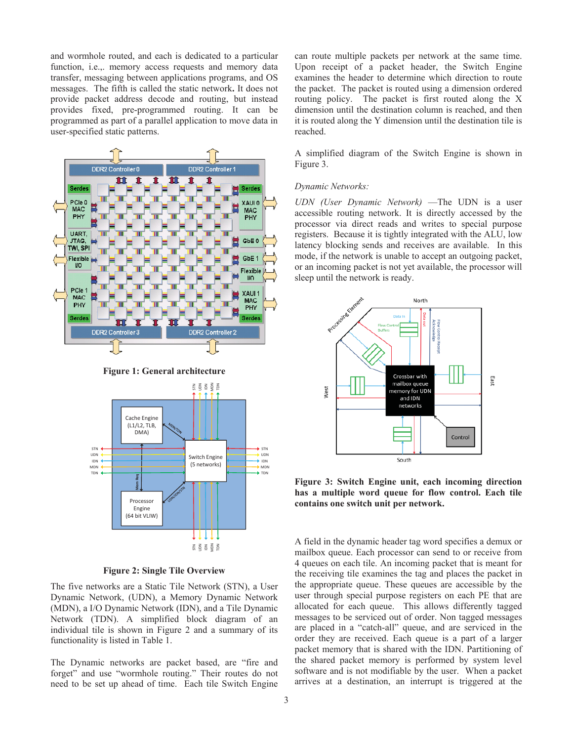and wormhole routed, and each is dedicated to a particular function, i.e.,. memory access requests and memory data transfer, messaging between applications programs, and OS messages. The fifth is called the static network**.** It does not provide packet address decode and routing, but instead provides fixed, pre-programmed routing. It can be programmed as part of a parallel application to move data in user-specified static patterns.



**Figure 1: General architecture**



**Figure 2: Single Tile Overview** 

The five networks are a Static Tile Network (STN), a User Dynamic Network, (UDN), a Memory Dynamic Network (MDN), a I/O Dynamic Network (IDN), and a Tile Dynamic Network (TDN). A simplified block diagram of an individual tile is shown in Figure 2 and a summary of its functionality is listed in Table 1.

The Dynamic networks are packet based, are "fire and forget" and use "wormhole routing." Their routes do not need to be set up ahead of time. Each tile Switch Engine

can route multiple packets per network at the same time. Upon receipt of a packet header, the Switch Engine examines the header to determine which direction to route the packet. The packet is routed using a dimension ordered routing policy. The packet is first routed along the X dimension until the destination column is reached, and then it is routed along the Y dimension until the destination tile is reached.

A simplified diagram of the Switch Engine is shown in Figure 3.

#### *Dynamic Networks:*

*UDN (User Dynamic Network)* —The UDN is a user accessible routing network. It is directly accessed by the processor via direct reads and writes to special purpose registers. Because it is tightly integrated with the ALU, low latency blocking sends and receives are available. In this mode, if the network is unable to accept an outgoing packet, or an incoming packet is not yet available, the processor will sleep until the network is ready.



**Figure 3: Switch Engine unit, each incoming direction has a multiple word queue for flow control. Each tile contains one switch unit per network.** 

A field in the dynamic header tag word specifies a demux or mailbox queue. Each processor can send to or receive from 4 queues on each tile. An incoming packet that is meant for the receiving tile examines the tag and places the packet in the appropriate queue. These queues are accessible by the user through special purpose registers on each PE that are allocated for each queue. This allows differently tagged messages to be serviced out of order. Non tagged messages are placed in a "catch-all" queue, and are serviced in the order they are received. Each queue is a part of a larger packet memory that is shared with the IDN. Partitioning of the shared packet memory is performed by system level software and is not modifiable by the user. When a packet arrives at a destination, an interrupt is triggered at the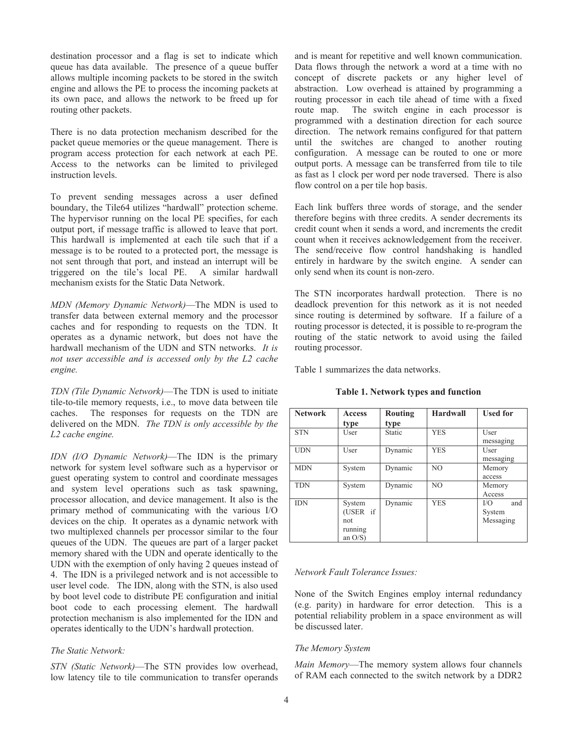destination processor and a flag is set to indicate which queue has data available. The presence of a queue buffer allows multiple incoming packets to be stored in the switch engine and allows the PE to process the incoming packets at its own pace, and allows the network to be freed up for routing other packets.

There is no data protection mechanism described for the packet queue memories or the queue management. There is program access protection for each network at each PE. Access to the networks can be limited to privileged instruction levels.

To prevent sending messages across a user defined boundary, the Tile64 utilizes "hardwall" protection scheme. The hypervisor running on the local PE specifies, for each output port, if message traffic is allowed to leave that port. This hardwall is implemented at each tile such that if a message is to be routed to a protected port, the message is not sent through that port, and instead an interrupt will be triggered on the tile's local PE. A similar hardwall mechanism exists for the Static Data Network.

*MDN (Memory Dynamic Network)*—The MDN is used to transfer data between external memory and the processor caches and for responding to requests on the TDN. It operates as a dynamic network, but does not have the hardwall mechanism of the UDN and STN networks. *It is not user accessible and is accessed only by the L2 cache engine.* 

*TDN (Tile Dynamic Network)*—The TDN is used to initiate tile-to-tile memory requests, i.e., to move data between tile caches. The responses for requests on the TDN are delivered on the MDN. *The TDN is only accessible by the L2 cache engine.* 

*IDN (I/O Dynamic Network)*—The IDN is the primary network for system level software such as a hypervisor or guest operating system to control and coordinate messages and system level operations such as task spawning, processor allocation, and device management. It also is the primary method of communicating with the various I/O devices on the chip. It operates as a dynamic network with two multiplexed channels per processor similar to the four queues of the UDN. The queues are part of a larger packet memory shared with the UDN and operate identically to the UDN with the exemption of only having 2 queues instead of 4. The IDN is a privileged network and is not accessible to user level code. The IDN, along with the STN, is also used by boot level code to distribute PE configuration and initial boot code to each processing element. The hardwall protection mechanism is also implemented for the IDN and operates identically to the UDN's hardwall protection.

#### *The Static Network:*

*STN (Static Network)*—The STN provides low overhead, low latency tile to tile communication to transfer operands and is meant for repetitive and well known communication. Data flows through the network a word at a time with no concept of discrete packets or any higher level of abstraction. Low overhead is attained by programming a routing processor in each tile ahead of time with a fixed route map. The switch engine in each processor is programmed with a destination direction for each source direction. The network remains configured for that pattern until the switches are changed to another routing configuration. A message can be routed to one or more output ports. A message can be transferred from tile to tile as fast as 1 clock per word per node traversed. There is also flow control on a per tile hop basis.

Each link buffers three words of storage, and the sender therefore begins with three credits. A sender decrements its credit count when it sends a word, and increments the credit count when it receives acknowledgement from the receiver. The send/receive flow control handshaking is handled entirely in hardware by the switch engine. A sender can only send when its count is non-zero.

The STN incorporates hardwall protection. There is no deadlock prevention for this network as it is not needed since routing is determined by software. If a failure of a routing processor is detected, it is possible to re-program the routing of the static network to avoid using the failed routing processor.

Table 1 summarizes the data networks.

| <b>Network</b> | <b>Access</b> | Routing | <b>Hardwall</b> | <b>Used for</b> |
|----------------|---------------|---------|-----------------|-----------------|
|                | type          | type    |                 |                 |
| <b>STN</b>     | User          | Static  | <b>YES</b>      | User            |
|                |               |         |                 | messaging       |
| <b>UDN</b>     | User          | Dynamic | <b>YES</b>      | User            |
|                |               |         |                 | messaging       |
| <b>MDN</b>     | System        | Dynamic | N <sub>O</sub>  | Memory          |
|                |               |         |                 | access          |
| <b>TDN</b>     | System        | Dynamic | N <sub>O</sub>  | Memory          |
|                |               |         |                 | Access          |
| <b>IDN</b>     | System        | Dynamic | <b>YES</b>      | and<br>1/O      |
|                | (USER if      |         |                 | System          |
|                | not           |         |                 | Messaging       |
|                | running       |         |                 |                 |
|                | an $O/S$ )    |         |                 |                 |

#### **Table 1. Network types and function**

#### *Network Fault Tolerance Issues:*

None of the Switch Engines employ internal redundancy (e.g. parity) in hardware for error detection. This is a potential reliability problem in a space environment as will be discussed later

#### *The Memory System*

*Main Memory*—The memory system allows four channels of RAM each connected to the switch network by a DDR2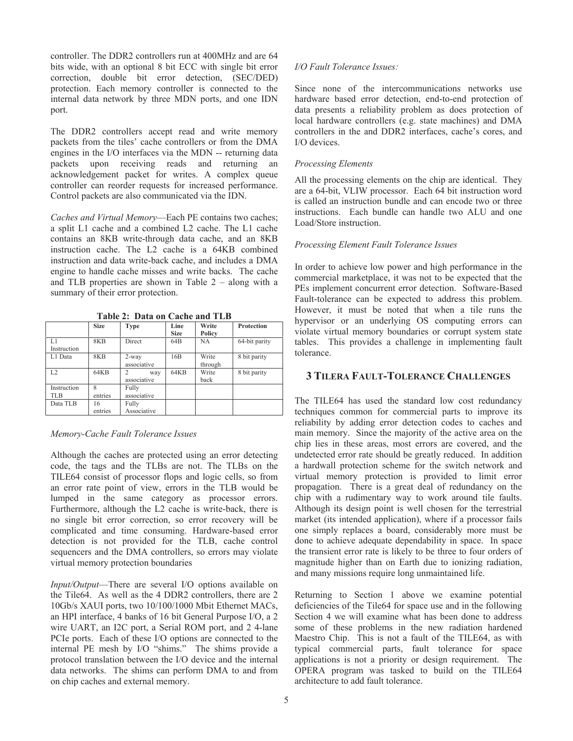controller. The DDR2 controllers run at 400MHz and are 64 bits wide, with an optional 8 bit ECC with single bit error correction, double bit error detection, (SEC/DED) protection. Each memory controller is connected to the internal data network by three MDN ports, and one IDN port.

The DDR2 controllers accept read and write memory packets from the tiles' cache controllers or from the DMA engines in the I/O interfaces via the MDN -- returning data packets upon receiving reads and returning an acknowledgement packet for writes. A complex queue controller can reorder requests for increased performance. Control packets are also communicated via the IDN.

*Caches and Virtual Memory*—Each PE contains two caches; a split L1 cache and a combined L2 cache. The L1 cache contains an 8KB write-through data cache, and an 8KB instruction cache. The L2 cache is a 64KB combined instruction and data write-back cache, and includes a DMA engine to handle cache misses and write backs. The cache and TLB properties are shown in Table 2 – along with a summary of their error protection.

|                     | <b>Size</b>   | <b>Type</b>             | Line<br><b>Size</b> | Write<br>Policy  | Protection    |
|---------------------|---------------|-------------------------|---------------------|------------------|---------------|
| L1<br>Instruction   | 8KB           | Direct                  | 64B                 | NA               | 64-bit parity |
| L1 Data             | 8KB           | $2$ -way<br>associative | 16B                 | Write<br>through | 8 bit parity  |
| L <sub>2</sub>      | 64KB          | 2<br>way<br>associative | 64KB                | Write<br>back    | 8 bit parity  |
| Instruction<br>TLB. | 8<br>entries  | Fully<br>associative    |                     |                  |               |
| Data TLB            | 16<br>entries | Fully<br>Associative    |                     |                  |               |

**Table 2: Data on Cache and TLB** 

## *Memory-Cache Fault Tolerance Issues*

Although the caches are protected using an error detecting code, the tags and the TLBs are not. The TLBs on the TILE64 consist of processor flops and logic cells, so from an error rate point of view, errors in the TLB would be lumped in the same category as processor errors. Furthermore, although the L2 cache is write-back, there is no single bit error correction, so error recovery will be complicated and time consuming. Hardware-based error detection is not provided for the TLB, cache control sequencers and the DMA controllers, so errors may violate virtual memory protection boundaries

*Input/Output*—There are several I/O options available on the Tile64. As well as the 4 DDR2 controllers, there are 2 10Gb/s XAUI ports, two 10/100/1000 Mbit Ethernet MACs, an HPI interface, 4 banks of 16 bit General Purpose I/O, a 2 wire UART, an I2C port, a Serial ROM port, and 2 4-lane PCIe ports. Each of these I/O options are connected to the internal PE mesh by I/O "shims." The shims provide a protocol translation between the I/O device and the internal data networks. The shims can perform DMA to and from on chip caches and external memory.

## *I/O Fault Tolerance Issues:*

Since none of the intercommunications networks use hardware based error detection, end-to-end protection of data presents a reliability problem as does protection of local hardware controllers (e.g. state machines) and DMA controllers in the and DDR2 interfaces, cache's cores, and I/O devices.

## *Processing Elements*

All the processing elements on the chip are identical. They are a 64-bit, VLIW processor. Each 64 bit instruction word is called an instruction bundle and can encode two or three instructions. Each bundle can handle two ALU and one Load/Store instruction.

## *Processing Element Fault Tolerance Issues*

In order to achieve low power and high performance in the commercial marketplace, it was not to be expected that the PEs implement concurrent error detection. Software-Based Fault-tolerance can be expected to address this problem. However, it must be noted that when a tile runs the hypervisor or an underlying OS computing errors can violate virtual memory boundaries or corrupt system state tables. This provides a challenge in implementing fault tolerance.

## **3 TILERA FAULT-TOLERANCE CHALLENGES**

The TILE64 has used the standard low cost redundancy techniques common for commercial parts to improve its reliability by adding error detection codes to caches and main memory. Since the majority of the active area on the chip lies in these areas, most errors are covered, and the undetected error rate should be greatly reduced. In addition a hardwall protection scheme for the switch network and virtual memory protection is provided to limit error propagation. There is a great deal of redundancy on the chip with a rudimentary way to work around tile faults. Although its design point is well chosen for the terrestrial market (its intended application), where if a processor fails one simply replaces a board, considerably more must be done to achieve adequate dependability in space. In space the transient error rate is likely to be three to four orders of magnitude higher than on Earth due to ionizing radiation, and many missions require long unmaintained life.

Returning to Section 1 above we examine potential deficiencies of the Tile64 for space use and in the following Section 4 we will examine what has been done to address some of these problems in the new radiation hardened Maestro Chip. This is not a fault of the TILE64, as with typical commercial parts, fault tolerance for space applications is not a priority or design requirement. The OPERA program was tasked to build on the TILE64 architecture to add fault tolerance.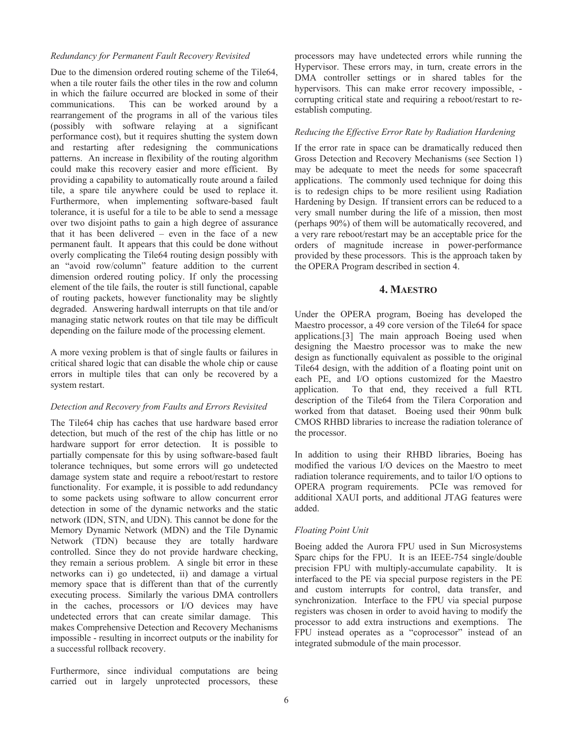#### *Redundancy for Permanent Fault Recovery Revisited*

Due to the dimension ordered routing scheme of the Tile64, when a tile router fails the other tiles in the row and column in which the failure occurred are blocked in some of their communications. This can be worked around by a rearrangement of the programs in all of the various tiles (possibly with software relaying at a significant performance cost), but it requires shutting the system down and restarting after redesigning the communications patterns. An increase in flexibility of the routing algorithm could make this recovery easier and more efficient. By providing a capability to automatically route around a failed tile, a spare tile anywhere could be used to replace it. Furthermore, when implementing software-based fault tolerance, it is useful for a tile to be able to send a message over two disjoint paths to gain a high degree of assurance that it has been delivered – even in the face of a new permanent fault. It appears that this could be done without overly complicating the Tile64 routing design possibly with an "avoid row/column" feature addition to the current dimension ordered routing policy. If only the processing element of the tile fails, the router is still functional, capable of routing packets, however functionality may be slightly degraded. Answering hardwall interrupts on that tile and/or managing static network routes on that tile may be difficult depending on the failure mode of the processing element.

A more vexing problem is that of single faults or failures in critical shared logic that can disable the whole chip or cause errors in multiple tiles that can only be recovered by a system restart.

#### *Detection and Recovery from Faults and Errors Revisited*

The Tile64 chip has caches that use hardware based error detection, but much of the rest of the chip has little or no hardware support for error detection. It is possible to partially compensate for this by using software-based fault tolerance techniques, but some errors will go undetected damage system state and require a reboot/restart to restore functionality. For example, it is possible to add redundancy to some packets using software to allow concurrent error detection in some of the dynamic networks and the static network (IDN, STN, and UDN). This cannot be done for the Memory Dynamic Network (MDN) and the Tile Dynamic Network (TDN) because they are totally hardware controlled. Since they do not provide hardware checking, they remain a serious problem. A single bit error in these networks can i) go undetected, ii) and damage a virtual memory space that is different than that of the currently executing process. Similarly the various DMA controllers in the caches, processors or I/O devices may have undetected errors that can create similar damage. This makes Comprehensive Detection and Recovery Mechanisms impossible - resulting in incorrect outputs or the inability for a successful rollback recovery.

Furthermore, since individual computations are being carried out in largely unprotected processors, these

processors may have undetected errors while running the Hypervisor. These errors may, in turn, create errors in the DMA controller settings or in shared tables for the hypervisors. This can make error recovery impossible, corrupting critical state and requiring a reboot/restart to reestablish computing.

#### *Reducing the Effective Error Rate by Radiation Hardening*

If the error rate in space can be dramatically reduced then Gross Detection and Recovery Mechanisms (see Section 1) may be adequate to meet the needs for some spacecraft applications. The commonly used technique for doing this is to redesign chips to be more resilient using Radiation Hardening by Design. If transient errors can be reduced to a very small number during the life of a mission, then most (perhaps 90%) of them will be automatically recovered, and a very rare reboot/restart may be an acceptable price for the orders of magnitude increase in power-performance provided by these processors. This is the approach taken by the OPERA Program described in section 4.

#### **4. MAESTRO**

Under the OPERA program, Boeing has developed the Maestro processor, a 49 core version of the Tile64 for space applications.[3] The main approach Boeing used when designing the Maestro processor was to make the new design as functionally equivalent as possible to the original Tile64 design, with the addition of a floating point unit on each PE, and I/O options customized for the Maestro application. To that end, they received a full RTL description of the Tile64 from the Tilera Corporation and worked from that dataset. Boeing used their 90nm bulk CMOS RHBD libraries to increase the radiation tolerance of the processor.

In addition to using their RHBD libraries, Boeing has modified the various I/O devices on the Maestro to meet radiation tolerance requirements, and to tailor I/O options to OPERA program requirements. PCIe was removed for additional XAUI ports, and additional JTAG features were added.

## *Floating Point Unit*

Boeing added the Aurora FPU used in Sun Microsystems Sparc chips for the FPU. It is an IEEE-754 single/double precision FPU with multiply-accumulate capability. It is interfaced to the PE via special purpose registers in the PE and custom interrupts for control, data transfer, and synchronization. Interface to the FPU via special purpose registers was chosen in order to avoid having to modify the processor to add extra instructions and exemptions. The FPU instead operates as a "coprocessor" instead of an integrated submodule of the main processor.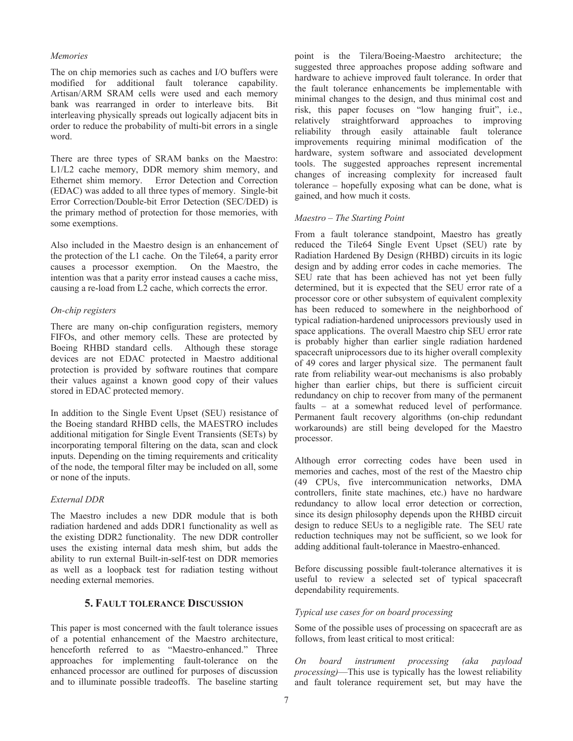#### *Memories*

The on chip memories such as caches and I/O buffers were modified for additional fault tolerance capability. Artisan/ARM SRAM cells were used and each memory bank was rearranged in order to interleave bits. Bit interleaving physically spreads out logically adjacent bits in order to reduce the probability of multi-bit errors in a single word.

There are three types of SRAM banks on the Maestro: L1/L2 cache memory, DDR memory shim memory, and Ethernet shim memory. Error Detection and Correction (EDAC) was added to all three types of memory. Single-bit Error Correction/Double-bit Error Detection (SEC/DED) is the primary method of protection for those memories, with some exemptions.

Also included in the Maestro design is an enhancement of the protection of the L1 cache. On the Tile64, a parity error causes a processor exemption. On the Maestro, the intention was that a parity error instead causes a cache miss, causing a re-load from L2 cache, which corrects the error.

#### *On-chip registers*

There are many on-chip configuration registers, memory FIFOs, and other memory cells. These are protected by Boeing RHBD standard cells. Although these storage devices are not EDAC protected in Maestro additional protection is provided by software routines that compare their values against a known good copy of their values stored in EDAC protected memory.

In addition to the Single Event Upset (SEU) resistance of the Boeing standard RHBD cells, the MAESTRO includes additional mitigation for Single Event Transients (SETs) by incorporating temporal filtering on the data, scan and clock inputs. Depending on the timing requirements and criticality of the node, the temporal filter may be included on all, some or none of the inputs.

#### *External DDR*

The Maestro includes a new DDR module that is both radiation hardened and adds DDR1 functionality as well as the existing DDR2 functionality. The new DDR controller uses the existing internal data mesh shim, but adds the ability to run external Built-in-self-test on DDR memories as well as a loopback test for radiation testing without needing external memories.

## **5. FAULT TOLERANCE DISCUSSION**

This paper is most concerned with the fault tolerance issues of a potential enhancement of the Maestro architecture, henceforth referred to as "Maestro-enhanced." Three approaches for implementing fault-tolerance on the enhanced processor are outlined for purposes of discussion and to illuminate possible tradeoffs. The baseline starting

point is the Tilera/Boeing-Maestro architecture; the suggested three approaches propose adding software and hardware to achieve improved fault tolerance. In order that the fault tolerance enhancements be implementable with minimal changes to the design, and thus minimal cost and risk, this paper focuses on "low hanging fruit", i.e., relatively straightforward approaches to improving reliability through easily attainable fault tolerance improvements requiring minimal modification of the hardware, system software and associated development tools. The suggested approaches represent incremental changes of increasing complexity for increased fault tolerance – hopefully exposing what can be done, what is gained, and how much it costs.

#### *Maestro – The Starting Point*

From a fault tolerance standpoint, Maestro has greatly reduced the Tile64 Single Event Upset (SEU) rate by Radiation Hardened By Design (RHBD) circuits in its logic design and by adding error codes in cache memories. The SEU rate that has been achieved has not yet been fully determined, but it is expected that the SEU error rate of a processor core or other subsystem of equivalent complexity has been reduced to somewhere in the neighborhood of typical radiation-hardened uniprocessors previously used in space applications. The overall Maestro chip SEU error rate is probably higher than earlier single radiation hardened spacecraft uniprocessors due to its higher overall complexity of 49 cores and larger physical size. The permanent fault rate from reliability wear-out mechanisms is also probably higher than earlier chips, but there is sufficient circuit redundancy on chip to recover from many of the permanent faults – at a somewhat reduced level of performance. Permanent fault recovery algorithms (on-chip redundant workarounds) are still being developed for the Maestro processor.

Although error correcting codes have been used in memories and caches, most of the rest of the Maestro chip (49 CPUs, five intercommunication networks, DMA controllers, finite state machines, etc.) have no hardware redundancy to allow local error detection or correction, since its design philosophy depends upon the RHBD circuit design to reduce SEUs to a negligible rate. The SEU rate reduction techniques may not be sufficient, so we look for adding additional fault-tolerance in Maestro-enhanced.

Before discussing possible fault-tolerance alternatives it is useful to review a selected set of typical spacecraft dependability requirements.

## *Typical use cases for on board processing*

Some of the possible uses of processing on spacecraft are as follows, from least critical to most critical:

*On board instrument processing (aka payload processing)*—This use is typically has the lowest reliability and fault tolerance requirement set, but may have the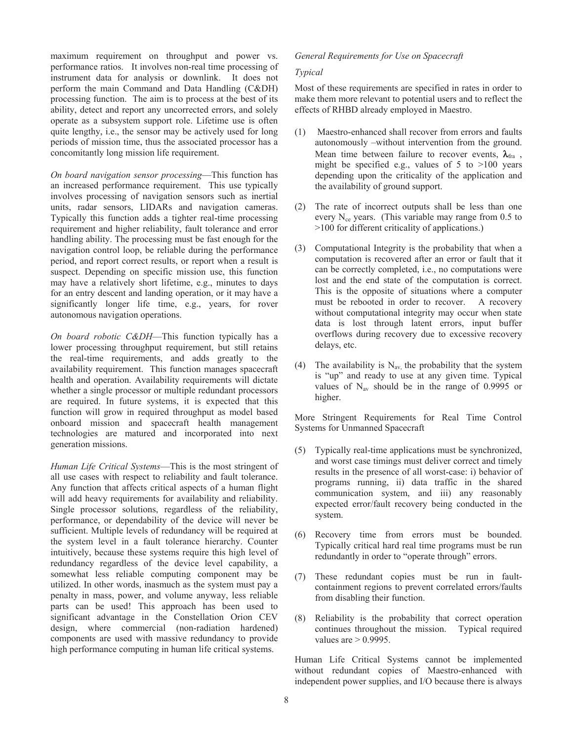maximum requirement on throughput and power vs. performance ratios. It involves non-real time processing of instrument data for analysis or downlink. It does not perform the main Command and Data Handling (C&DH) processing function. The aim is to process at the best of its ability, detect and report any uncorrected errors, and solely operate as a subsystem support role. Lifetime use is often quite lengthy, i.e., the sensor may be actively used for long periods of mission time, thus the associated processor has a concomitantly long mission life requirement.

*On board navigation sensor processing*—This function has an increased performance requirement. This use typically involves processing of navigation sensors such as inertial units, radar sensors, LIDARs and navigation cameras. Typically this function adds a tighter real-time processing requirement and higher reliability, fault tolerance and error handling ability. The processing must be fast enough for the navigation control loop, be reliable during the performance period, and report correct results, or report when a result is suspect. Depending on specific mission use, this function may have a relatively short lifetime, e.g., minutes to days for an entry descent and landing operation, or it may have a significantly longer life time, e.g., years, for rover autonomous navigation operations.

*On board robotic C&DH*—This function typically has a lower processing throughput requirement, but still retains the real-time requirements, and adds greatly to the availability requirement. This function manages spacecraft health and operation. Availability requirements will dictate whether a single processor or multiple redundant processors are required. In future systems, it is expected that this function will grow in required throughput as model based onboard mission and spacecraft health management technologies are matured and incorporated into next generation missions.

*Human Life Critical Systems*—This is the most stringent of all use cases with respect to reliability and fault tolerance. Any function that affects critical aspects of a human flight will add heavy requirements for availability and reliability. Single processor solutions, regardless of the reliability, performance, or dependability of the device will never be sufficient. Multiple levels of redundancy will be required at the system level in a fault tolerance hierarchy. Counter intuitively, because these systems require this high level of redundancy regardless of the device level capability, a somewhat less reliable computing component may be utilized. In other words, inasmuch as the system must pay a penalty in mass, power, and volume anyway, less reliable parts can be used! This approach has been used to significant advantage in the Constellation Orion CEV design, where commercial (non-radiation hardened) components are used with massive redundancy to provide high performance computing in human life critical systems.

#### *General Requirements for Use on Spacecraft*

#### *Typical*

Most of these requirements are specified in rates in order to make them more relevant to potential users and to reflect the effects of RHBD already employed in Maestro.

- (1) Maestro-enhanced shall recover from errors and faults autonomously –without intervention from the ground. Mean time between failure to recover events,  $\lambda_{\text{fra}}$ , might be specified e.g., values of  $5$  to  $>100$  years depending upon the criticality of the application and the availability of ground support.
- (2) The rate of incorrect outputs shall be less than one every  $N_{ce}$  years. (This variable may range from 0.5 to >100 for different criticality of applications.)
- (3) Computational Integrity is the probability that when a computation is recovered after an error or fault that it can be correctly completed, i.e., no computations were lost and the end state of the computation is correct. This is the opposite of situations where a computer must be rebooted in order to recover. A recovery without computational integrity may occur when state data is lost through latent errors, input buffer overflows during recovery due to excessive recovery delays, etc.
- (4) The availability is  $N_{av}$ , the probability that the system is "up" and ready to use at any given time. Typical values of  $N_{av}$  should be in the range of 0.9995 or higher.

More Stringent Requirements for Real Time Control Systems for Unmanned Spacecraft

- (5) Typically real-time applications must be synchronized, and worst case timings must deliver correct and timely results in the presence of all worst-case: i) behavior of programs running, ii) data traffic in the shared communication system, and iii) any reasonably expected error/fault recovery being conducted in the system.
- (6) Recovery time from errors must be bounded. Typically critical hard real time programs must be run redundantly in order to "operate through" errors.
- (7) These redundant copies must be run in faultcontainment regions to prevent correlated errors/faults from disabling their function.
- (8) Reliability is the probability that correct operation continues throughout the mission. Typical required values are  $> 0.9995$ .

Human Life Critical Systems cannot be implemented without redundant copies of Maestro-enhanced with independent power supplies, and I/O because there is always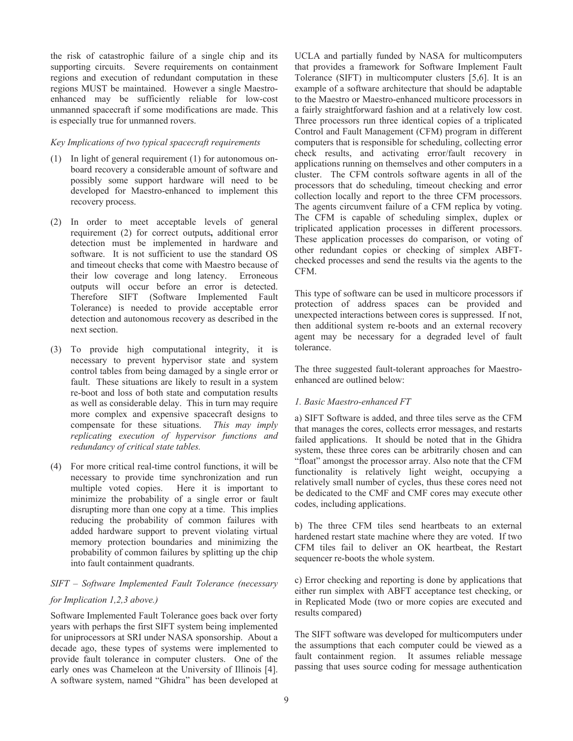the risk of catastrophic failure of a single chip and its supporting circuits. Severe requirements on containment regions and execution of redundant computation in these regions MUST be maintained. However a single Maestroenhanced may be sufficiently reliable for low-cost unmanned spacecraft if some modifications are made. This is especially true for unmanned rovers.

#### *Key Implications of two typical spacecraft requirements*

- (1) In light of general requirement (1) for autonomous onboard recovery a considerable amount of software and possibly some support hardware will need to be developed for Maestro-enhanced to implement this recovery process.
- (2) In order to meet acceptable levels of general requirement (2) for correct outputs**,** additional error detection must be implemented in hardware and software. It is not sufficient to use the standard OS and timeout checks that come with Maestro because of their low coverage and long latency. Erroneous outputs will occur before an error is detected. Therefore SIFT (Software Implemented Fault Tolerance) is needed to provide acceptable error detection and autonomous recovery as described in the next section.
- (3) To provide high computational integrity, it is necessary to prevent hypervisor state and system control tables from being damaged by a single error or fault. These situations are likely to result in a system re-boot and loss of both state and computation results as well as considerable delay. This in turn may require more complex and expensive spacecraft designs to compensate for these situations. *This may imply replicating execution of hypervisor functions and redundancy of critical state tables.*
- (4) For more critical real-time control functions, it will be necessary to provide time synchronization and run multiple voted copies. Here it is important to minimize the probability of a single error or fault disrupting more than one copy at a time. This implies reducing the probability of common failures with added hardware support to prevent violating virtual memory protection boundaries and minimizing the probability of common failures by splitting up the chip into fault containment quadrants.

## *SIFT – Software Implemented Fault Tolerance (necessary*

## *for Implication 1,2,3 above.)*

Software Implemented Fault Tolerance goes back over forty years with perhaps the first SIFT system being implemented for uniprocessors at SRI under NASA sponsorship. About a decade ago, these types of systems were implemented to provide fault tolerance in computer clusters. One of the early ones was Chameleon at the University of Illinois [4]. A software system, named "Ghidra" has been developed at UCLA and partially funded by NASA for multicomputers that provides a framework for Software Implement Fault Tolerance (SIFT) in multicomputer clusters [5,6]. It is an example of a software architecture that should be adaptable to the Maestro or Maestro-enhanced multicore processors in a fairly straightforward fashion and at a relatively low cost. Three processors run three identical copies of a triplicated Control and Fault Management (CFM) program in different computers that is responsible for scheduling, collecting error check results, and activating error/fault recovery in applications running on themselves and other computers in a cluster. The CFM controls software agents in all of the processors that do scheduling, timeout checking and error collection locally and report to the three CFM processors. The agents circumvent failure of a CFM replica by voting. The CFM is capable of scheduling simplex, duplex or triplicated application processes in different processors. These application processes do comparison, or voting of other redundant copies or checking of simplex ABFTchecked processes and send the results via the agents to the CFM.

This type of software can be used in multicore processors if protection of address spaces can be provided and unexpected interactions between cores is suppressed. If not, then additional system re-boots and an external recovery agent may be necessary for a degraded level of fault tolerance.

The three suggested fault-tolerant approaches for Maestroenhanced are outlined below:

## *1. Basic Maestro-enhanced FT*

a) SIFT Software is added, and three tiles serve as the CFM that manages the cores, collects error messages, and restarts failed applications. It should be noted that in the Ghidra system, these three cores can be arbitrarily chosen and can "float" amongst the processor array. Also note that the CFM functionality is relatively light weight, occupying a relatively small number of cycles, thus these cores need not be dedicated to the CMF and CMF cores may execute other codes, including applications.

b) The three CFM tiles send heartbeats to an external hardened restart state machine where they are voted. If two CFM tiles fail to deliver an OK heartbeat, the Restart sequencer re-boots the whole system.

c) Error checking and reporting is done by applications that either run simplex with ABFT acceptance test checking, or in Replicated Mode (two or more copies are executed and results compared)

The SIFT software was developed for multicomputers under the assumptions that each computer could be viewed as a fault containment region. It assumes reliable message passing that uses source coding for message authentication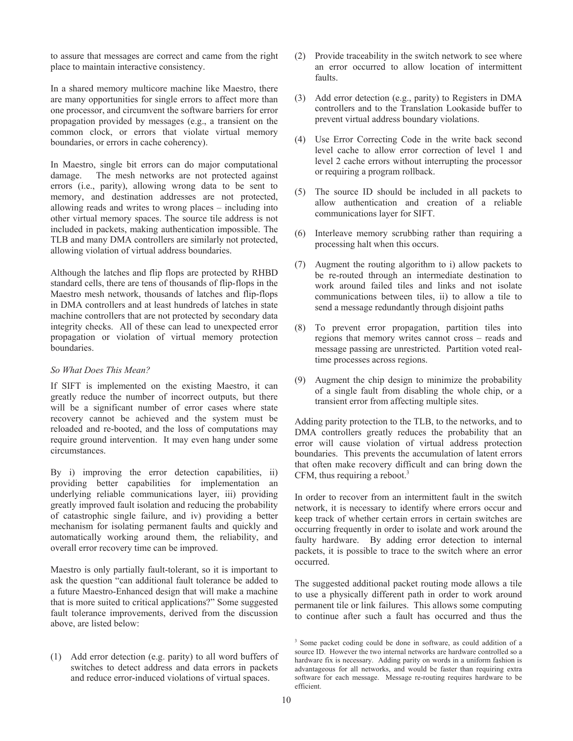to assure that messages are correct and came from the right place to maintain interactive consistency.

In a shared memory multicore machine like Maestro, there are many opportunities for single errors to affect more than one processor, and circumvent the software barriers for error propagation provided by messages (e.g., a transient on the common clock, or errors that violate virtual memory boundaries, or errors in cache coherency).

In Maestro, single bit errors can do major computational damage. The mesh networks are not protected against errors (i.e., parity), allowing wrong data to be sent to memory, and destination addresses are not protected, allowing reads and writes to wrong places – including into other virtual memory spaces. The source tile address is not included in packets, making authentication impossible. The TLB and many DMA controllers are similarly not protected, allowing violation of virtual address boundaries.

Although the latches and flip flops are protected by RHBD standard cells, there are tens of thousands of flip-flops in the Maestro mesh network, thousands of latches and flip-flops in DMA controllers and at least hundreds of latches in state machine controllers that are not protected by secondary data integrity checks. All of these can lead to unexpected error propagation or violation of virtual memory protection boundaries.

#### *So What Does This Mean?*

If SIFT is implemented on the existing Maestro, it can greatly reduce the number of incorrect outputs, but there will be a significant number of error cases where state recovery cannot be achieved and the system must be reloaded and re-booted, and the loss of computations may require ground intervention. It may even hang under some circumstances.

By i) improving the error detection capabilities, ii) providing better capabilities for implementation an underlying reliable communications layer, iii) providing greatly improved fault isolation and reducing the probability of catastrophic single failure, and iv) providing a better mechanism for isolating permanent faults and quickly and automatically working around them, the reliability, and overall error recovery time can be improved.

Maestro is only partially fault-tolerant, so it is important to ask the question "can additional fault tolerance be added to a future Maestro-Enhanced design that will make a machine that is more suited to critical applications?" Some suggested fault tolerance improvements, derived from the discussion above, are listed below:

(1) Add error detection (e.g. parity) to all word buffers of switches to detect address and data errors in packets and reduce error-induced violations of virtual spaces.

- (2) Provide traceability in the switch network to see where an error occurred to allow location of intermittent faults.
- (3) Add error detection (e.g., parity) to Registers in DMA controllers and to the Translation Lookaside buffer to prevent virtual address boundary violations.
- (4) Use Error Correcting Code in the write back second level cache to allow error correction of level 1 and level 2 cache errors without interrupting the processor or requiring a program rollback.
- (5) The source ID should be included in all packets to allow authentication and creation of a reliable communications layer for SIFT.
- (6) Interleave memory scrubbing rather than requiring a processing halt when this occurs.
- (7) Augment the routing algorithm to i) allow packets to be re-routed through an intermediate destination to work around failed tiles and links and not isolate communications between tiles, ii) to allow a tile to send a message redundantly through disjoint paths
- (8) To prevent error propagation, partition tiles into regions that memory writes cannot cross – reads and message passing are unrestricted. Partition voted realtime processes across regions.
- (9) Augment the chip design to minimize the probability of a single fault from disabling the whole chip, or a transient error from affecting multiple sites.

Adding parity protection to the TLB, to the networks, and to DMA controllers greatly reduces the probability that an error will cause violation of virtual address protection boundaries. This prevents the accumulation of latent errors that often make recovery difficult and can bring down the CFM, thus requiring a reboot.<sup>3</sup>

In order to recover from an intermittent fault in the switch network, it is necessary to identify where errors occur and keep track of whether certain errors in certain switches are occurring frequently in order to isolate and work around the faulty hardware. By adding error detection to internal packets, it is possible to trace to the switch where an error occurred.

The suggested additional packet routing mode allows a tile to use a physically different path in order to work around permanent tile or link failures. This allows some computing to continue after such a fault has occurred and thus the

<sup>&</sup>lt;sup>3</sup> Some packet coding could be done in software, as could addition of a source ID. However the two internal networks are hardware controlled so a hardware fix is necessary. Adding parity on words in a uniform fashion is advantageous for all networks, and would be faster than requiring extra software for each message. Message re-routing requires hardware to be efficient.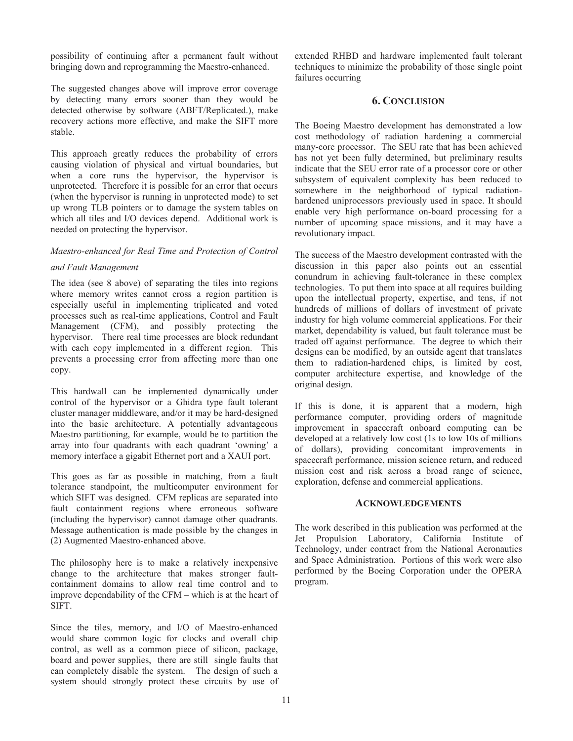possibility of continuing after a permanent fault without bringing down and reprogramming the Maestro-enhanced.

The suggested changes above will improve error coverage by detecting many errors sooner than they would be detected otherwise by software (ABFT/Replicated.), make recovery actions more effective, and make the SIFT more stable.

This approach greatly reduces the probability of errors causing violation of physical and virtual boundaries, but when a core runs the hypervisor, the hypervisor is unprotected. Therefore it is possible for an error that occurs (when the hypervisor is running in unprotected mode) to set up wrong TLB pointers or to damage the system tables on which all tiles and I/O devices depend. Additional work is needed on protecting the hypervisor.

## *Maestro-enhanced for Real Time and Protection of Control*

#### *and Fault Management*

The idea (see 8 above) of separating the tiles into regions where memory writes cannot cross a region partition is especially useful in implementing triplicated and voted processes such as real-time applications, Control and Fault Management (CFM), and possibly protecting the hypervisor. There real time processes are block redundant with each copy implemented in a different region. This prevents a processing error from affecting more than one copy.

This hardwall can be implemented dynamically under control of the hypervisor or a Ghidra type fault tolerant cluster manager middleware, and/or it may be hard-designed into the basic architecture. A potentially advantageous Maestro partitioning, for example, would be to partition the array into four quadrants with each quadrant 'owning' a memory interface a gigabit Ethernet port and a XAUI port.

This goes as far as possible in matching, from a fault tolerance standpoint, the multicomputer environment for which SIFT was designed. CFM replicas are separated into fault containment regions where erroneous software (including the hypervisor) cannot damage other quadrants. Message authentication is made possible by the changes in (2) Augmented Maestro-enhanced above.

The philosophy here is to make a relatively inexpensive change to the architecture that makes stronger faultcontainment domains to allow real time control and to improve dependability of the CFM – which is at the heart of SIFT.

Since the tiles, memory, and I/O of Maestro-enhanced would share common logic for clocks and overall chip control, as well as a common piece of silicon, package, board and power supplies, there are still single faults that can completely disable the system. The design of such a system should strongly protect these circuits by use of extended RHBD and hardware implemented fault tolerant techniques to minimize the probability of those single point failures occurring

## **6. CONCLUSION**

The Boeing Maestro development has demonstrated a low cost methodology of radiation hardening a commercial many-core processor. The SEU rate that has been achieved has not yet been fully determined, but preliminary results indicate that the SEU error rate of a processor core or other subsystem of equivalent complexity has been reduced to somewhere in the neighborhood of typical radiationhardened uniprocessors previously used in space. It should enable very high performance on-board processing for a number of upcoming space missions, and it may have a revolutionary impact.

The success of the Maestro development contrasted with the discussion in this paper also points out an essential conundrum in achieving fault-tolerance in these complex technologies. To put them into space at all requires building upon the intellectual property, expertise, and tens, if not hundreds of millions of dollars of investment of private industry for high volume commercial applications. For their market, dependability is valued, but fault tolerance must be traded off against performance. The degree to which their designs can be modified, by an outside agent that translates them to radiation-hardened chips, is limited by cost, computer architecture expertise, and knowledge of the original design.

If this is done, it is apparent that a modern, high performance computer, providing orders of magnitude improvement in spacecraft onboard computing can be developed at a relatively low cost (1s to low 10s of millions of dollars), providing concomitant improvements in spacecraft performance, mission science return, and reduced mission cost and risk across a broad range of science, exploration, defense and commercial applications.

#### **ACKNOWLEDGEMENTS**

The work described in this publication was performed at the Jet Propulsion Laboratory, California Institute of Technology, under contract from the National Aeronautics and Space Administration. Portions of this work were also performed by the Boeing Corporation under the OPERA program.